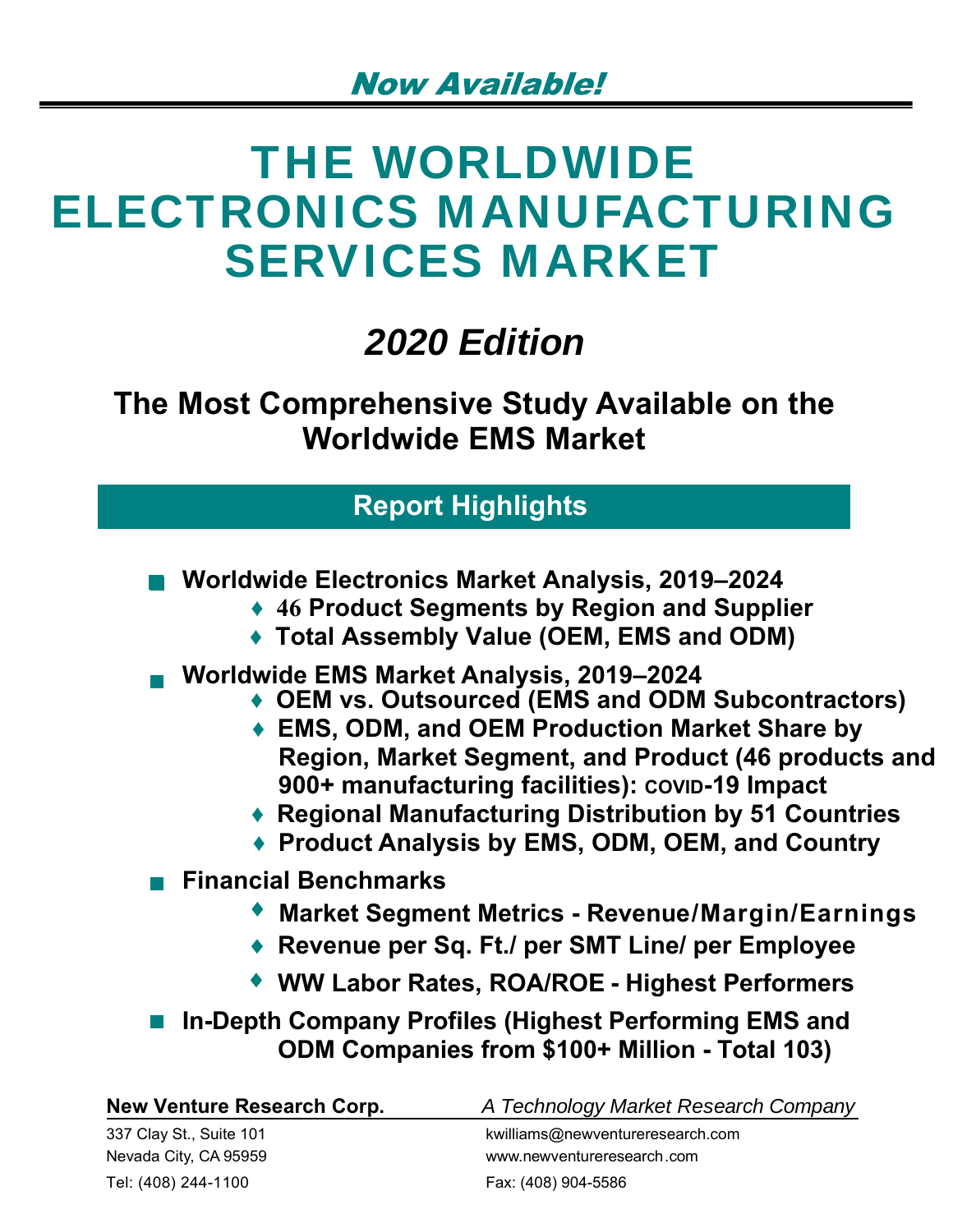# THE WORLDWIDE ELECTRONICS MANUFACTURING SERVICES MARKET

## *2020 Edition*

**The Most Comprehensive Study Available on the Worldwide EMS Market**

## **Report Highlights**

- **Worldwide Electronics Market Analysis, 2019–2024** 
	- **♦ 46 Product Segments by Region and Supplier**
	- **♦ Total Assembly Value (OEM, EMS and ODM)**
- **Worldwide EMS Market Analysis, 2019–2024**
	- **♦ OEM vs. Outsourced (EMS and ODM Subcontractors)**
	- **♦ EMS, ODM, and OEM Production Market Share by Region, Market Segment, and Product (46 products and 900+ manufacturing facilities): COVID-19 Impact**
	- **♦ Regional Manufacturing Distribution by 51 Countries**
	- **♦ Product Analysis by EMS, ODM, OEM, and Country**
- **Financial Benchmarks** 
	- **Market Segment Metrics Revenue/Margin/Earnings**
	- **Revenue per Sq. Ft./ per SMT Line/ per Employee**
	- ◆ WW Labor Rates, ROA/ROE Highest Performers
- In-Depth Company Profiles (Highest Performing EMS and **ODM Companies from \$100+ Million - Total 103)**

| New Venture Research Corp. | A Technology Market Research Company |
|----------------------------|--------------------------------------|
| 337 Clay St., Suite 101    | kwilliams@newventureresearch.com     |
| Nevada City, CA 95959      | www.newventureresearch.com           |
| Tel: (408) 244-1100        | Fax: (408) 904-5586                  |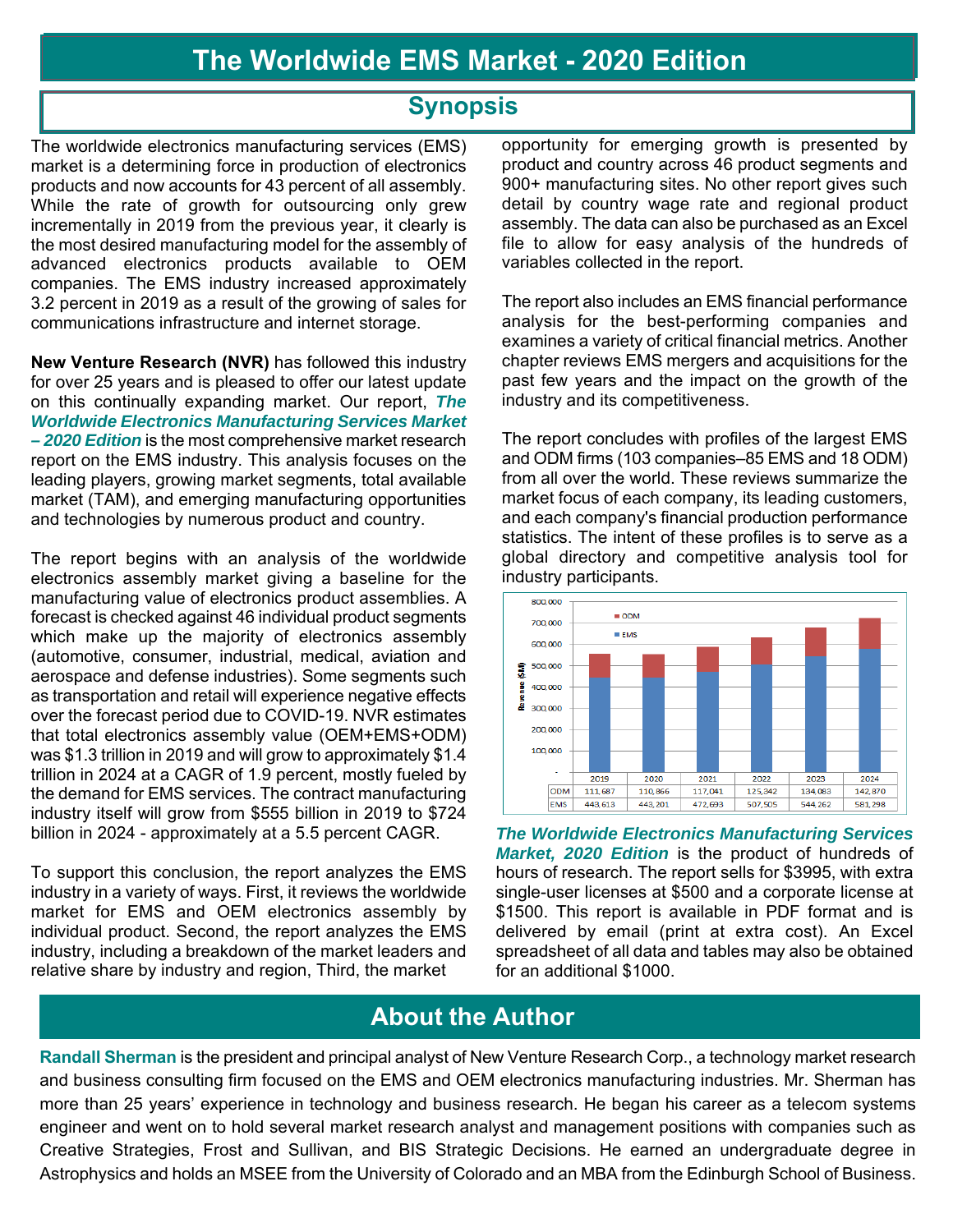### **Synopsis**

The worldwide electronics manufacturing services (EMS) market is a determining force in production of electronics products and now accounts for 43 percent of all assembly. While the rate of growth for outsourcing only grew incrementally in 2019 from the previous year, it clearly is the most desired manufacturing model for the assembly of advanced electronics products available to OEM companies. The EMS industry increased approximately 3.2 percent in 2019 as a result of the growing of sales for communications infrastructure and internet storage.

**New Venture Research (NVR)** has followed this industry for over 25 years and is pleased to offer our latest update on this continually expanding market. Our report, *The Worldwide Electronics Manufacturing Services Market – 2020 Edition* is the most comprehensive market research report on the EMS industry. This analysis focuses on the leading players, growing market segments, total available market (TAM), and emerging manufacturing opportunities and technologies by numerous product and country.

The report begins with an analysis of the worldwide electronics assembly market giving a baseline for the manufacturing value of electronics product assemblies. A forecast is checked against 46 individual product segments which make up the majority of electronics assembly (automotive, consumer, industrial, medical, aviation and aerospace and defense industries). Some segments such as transportation and retail will experience negative effects over the forecast period due to COVID-19. NVR estimates that total electronics assembly value (OEM+EMS+ODM) was \$1.3 trillion in 2019 and will grow to approximately \$1.4 trillion in 2024 at a CAGR of 1.9 percent, mostly fueled by the demand for EMS services. The contract manufacturing industry itself will grow from \$555 billion in 2019 to \$724 billion in 2024 - approximately at a 5.5 percent CAGR.

To support this conclusion, the report analyzes the EMS industry in a variety of ways. First, it reviews the worldwide market for EMS and OEM electronics assembly by individual product. Second, the report analyzes the EMS industry, including a breakdown of the market leaders and relative share by industry and region, Third, the market

opportunity for emerging growth is presented by product and country across 46 product segments and 900+ manufacturing sites. No other report gives such detail by country wage rate and regional product assembly. The data can also be purchased as an Excel file to allow for easy analysis of the hundreds of variables collected in the report.

The report also includes an EMS financial performance analysis for the best-performing companies and examines a variety of critical financial metrics. Another chapter reviews EMS mergers and acquisitions for the past few years and the impact on the growth of the industry and its competitiveness.

The report concludes with profiles of the largest EMS and ODM firms (103 companies–85 EMS and 18 ODM) from all over the world. These reviews summarize the market focus of each company, its leading customers, and each company's financial production performance statistics. The intent of these profiles is to serve as a global directory and competitive analysis tool for industry participants.



*The Worldwide Electronics Manufacturing Services Market, 2020 Edition* is the product of hundreds of hours of research. The report sells for \$3995, with extra single-user licenses at \$500 and a corporate license at \$1500. This report is available in PDF format and is delivered by email (print at extra cost). An Excel spreadsheet of all data and tables may also be obtained for an additional \$1000.

## **About the Author**

**Randall Sherman** is the president and principal analyst of New Venture Research Corp., a technology market research and business consulting firm focused on the EMS and OEM electronics manufacturing industries. Mr. Sherman has more than 25 years' experience in technology and business research. He began his career as a telecom systems engineer and went on to hold several market research analyst and management positions with companies such as Creative Strategies, Frost and Sullivan, and BIS Strategic Decisions. He earned an undergraduate degree in Astrophysics and holds an MSEE from the University of Colorado and an MBA from the Edinburgh School of Business.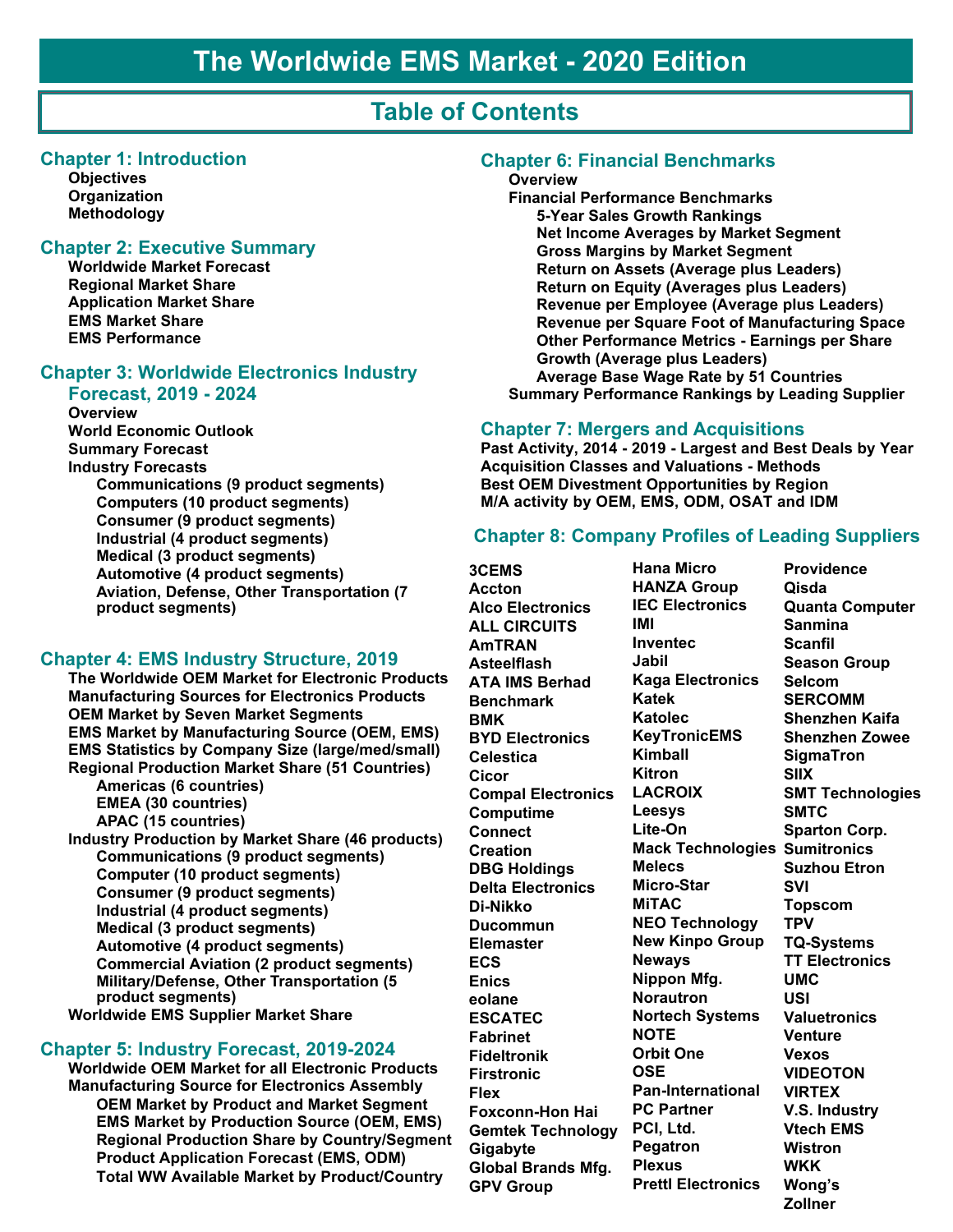## **Table of Contents**

#### **Chapter 1: Introduction**

**Objectives Organization Methodology**

#### **Chapter 2: Executive Summary**

**Worldwide Market Forecast Regional Market Share Application Market Share EMS Market Share EMS Performance**

#### **Chapter 3: Worldwide Electronics Industry Forecast, 2019 - 2024**

**Overview World Economic Outlook Summary Forecast Industry Forecasts Communications (9 product segments) Computers (10 product segments) Consumer (9 product segments) Industrial (4 product segments) Medical (3 product segments) Automotive (4 product segments) Aviation, Defense, Other Transportation (7 product segments)**

#### **Chapter 4: EMS Industry Structure, 2019**

**The Worldwide OEM Market for Electronic Products Manufacturing Sources for Electronics Products OEM Market by Seven Market Segments EMS Market by Manufacturing Source (OEM, EMS) EMS Statistics by Company Size (large/med/small) Regional Production Market Share (51 Countries) Americas (6 countries) EMEA (30 countries) APAC (15 countries) Industry Production by Market Share (46 products) Communications (9 product segments) Computer (10 product segments) Consumer (9 product segments) Industrial (4 product segments) Medical (3 product segments) Automotive (4 product segments) Commercial Aviation (2 product segments) Military/Defense, Other Transportation (5 product segments) Worldwide EMS Supplier Market Share**

#### **Chapter 5: Industry Forecast, 2019-2024**

**Worldwide OEM Market for all Electronic Products Manufacturing Source for Electronics Assembly OEM Market by Product and Market Segment EMS Market by Production Source (OEM, EMS) Regional Production Share by Country/Segment Product Application Forecast (EMS, ODM) Total WW Available Market by Product/Country**

#### **Chapter 6: Financial Benchmarks**

#### **Overview**

**Financial Performance Benchmarks 5-Year Sales Growth Rankings Net Income Averages by Market Segment Gross Margins by Market Segment Return on Assets (Average plus Leaders) Return on Equity (Averages plus Leaders) Revenue per Employee (Average plus Leaders) Revenue per Square Foot of Manufacturing Space Other Performance Metrics - Earnings per Share Growth (Average plus Leaders) Average Base Wage Rate by 51 Countries Summary Performance Rankings by Leading Supplier** 

#### **Chapter 7: Mergers and Acquisitions**

**Past Activity, 2014 - 2019 - Largest and Best Deals by Year Acquisition Classes and Valuations - Methods Best OEM Divestment Opportunities by Region M/A activity by OEM, EMS, ODM, OSAT and IDM**

#### **Chapter 8: Company Profiles of Leading Suppliers**

**3CEMS Accton Alco Electronics ALL CIRCUITS AmTRAN Asteelflash ATA IMS Berhad Benchmark BMK BYD Electronics Celestica Cicor Compal Electronics Computime Connect Creation DBG Holdings Delta Electronics Di-Nikko Ducommun Elemaster ECS Enics eolane ESCATEC Fabrinet Fideltronik Firstronic Flex Foxconn-Hon Hai Gemtek Technology Gigabyte Global Brands Mfg. GPV Group**

**Hana Micro HANZA Group IEC Electronics IMI Inventec Jabil Kaga Electronics Katek Katolec KeyTronicEMS Kimball Kitron LACROIX Leesys Lite-On Mack Technologies Sumitronics Melecs Micro-Star MiTAC NEO Technology New Kinpo Group Neways Nippon Mfg. Norautron Nortech Systems NOTE Orbit One OSE Pan-International PC Partner PCI, Ltd. Pegatron Plexus Prettl Electronics**

**Providence Qisda Quanta Computer Sanmina Scanfil Season Group Selcom SERCOMM Shenzhen Kaifa Shenzhen Zowee SigmaTron SIIX SMT Technologies SMTC Sparton Corp. Suzhou Etron SVI Topscom TPV TQ-Systems TT Electronics UMC USI Valuetronics Venture Vexos VIDEOTON VIRTEX V.S. Industry Vtech EMS Wistron WKK Wong's Zollner**